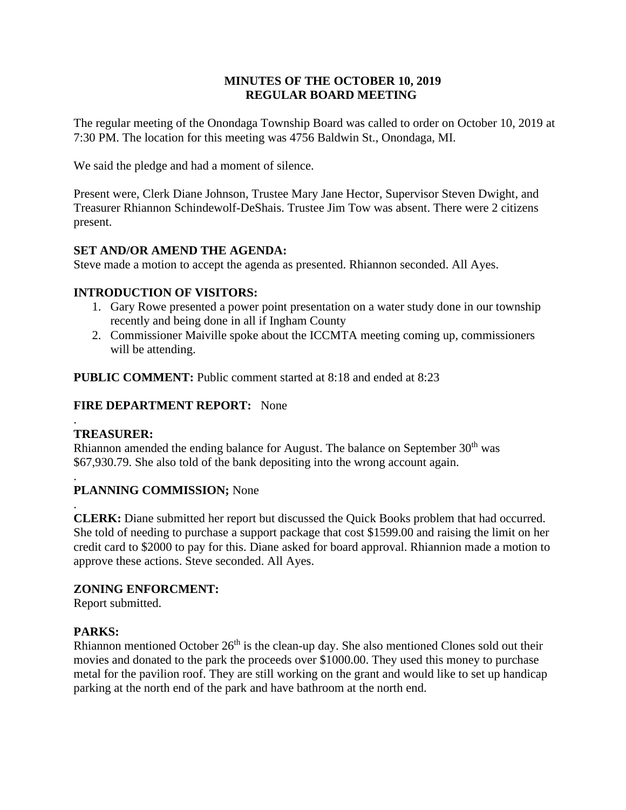### **MINUTES OF THE OCTOBER 10, 2019 REGULAR BOARD MEETING**

The regular meeting of the Onondaga Township Board was called to order on October 10, 2019 at 7:30 PM. The location for this meeting was 4756 Baldwin St., Onondaga, MI.

We said the pledge and had a moment of silence.

Present were, Clerk Diane Johnson, Trustee Mary Jane Hector, Supervisor Steven Dwight, and Treasurer Rhiannon Schindewolf-DeShais. Trustee Jim Tow was absent. There were 2 citizens present.

# **SET AND/OR AMEND THE AGENDA:**

Steve made a motion to accept the agenda as presented. Rhiannon seconded. All Ayes.

# **INTRODUCTION OF VISITORS:**

- 1. Gary Rowe presented a power point presentation on a water study done in our township recently and being done in all if Ingham County
- 2. Commissioner Maiville spoke about the ICCMTA meeting coming up, commissioners will be attending.

**PUBLIC COMMENT:** Public comment started at 8:18 and ended at 8:23

# **FIRE DEPARTMENT REPORT:** None

### . **TREASURER:**

Rhiannon amended the ending balance for August. The balance on September 30<sup>th</sup> was \$67,930.79. She also told of the bank depositing into the wrong account again.

### . **PLANNING COMMISSION;** None

. **CLERK:** Diane submitted her report but discussed the Quick Books problem that had occurred. She told of needing to purchase a support package that cost \$1599.00 and raising the limit on her credit card to \$2000 to pay for this. Diane asked for board approval. Rhiannion made a motion to approve these actions. Steve seconded. All Ayes.

# **ZONING ENFORCMENT:**

Report submitted.

# **PARKS:**

Rhiannon mentioned October  $26<sup>th</sup>$  is the clean-up day. She also mentioned Clones sold out their movies and donated to the park the proceeds over \$1000.00. They used this money to purchase metal for the pavilion roof. They are still working on the grant and would like to set up handicap parking at the north end of the park and have bathroom at the north end.